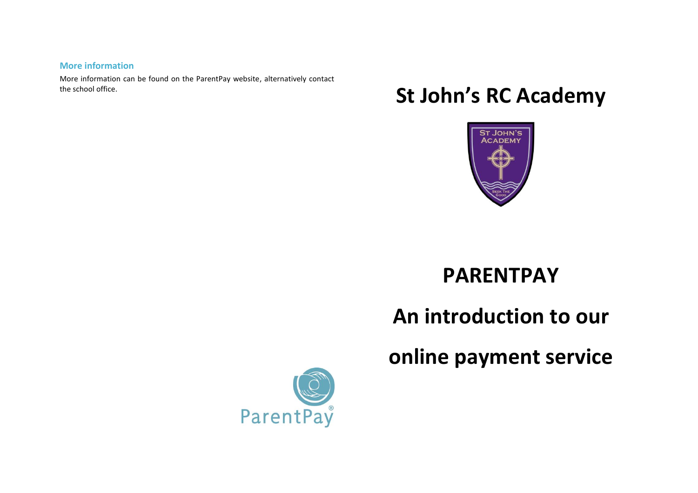#### **More information**

More information can be found on the ParentPay website, alternatively contact the school office.

# **St John's RC Academy**



## **PARENTPAY**

**An introduction to our**

**online payment service**